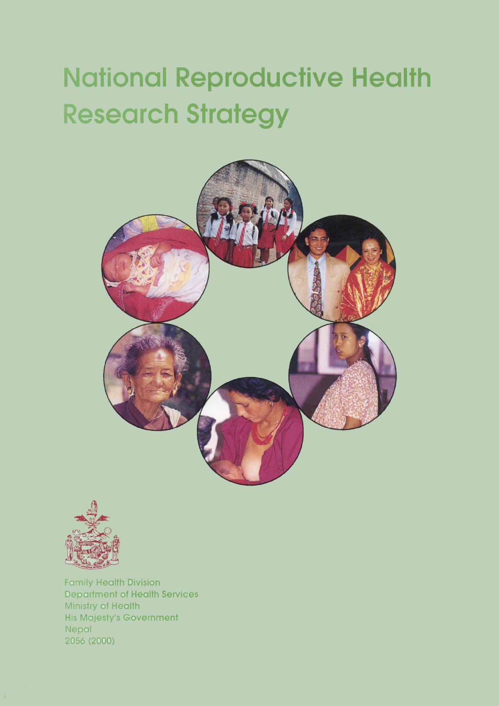# **National Reproductive Health Research Strategy**





**Family Health Division Department of Health Services** Ministry of Health **His Majesty's Government** Nepal 2056 (2000)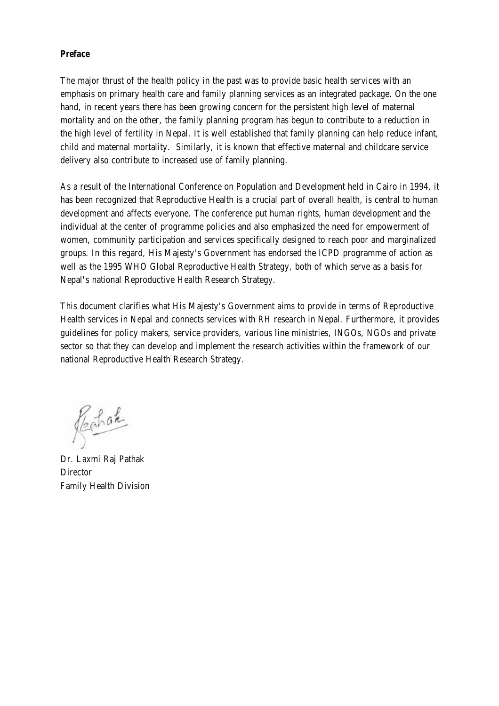#### <span id="page-1-0"></span>*Preface*

The major thrust of the health policy in the past was to provide basic health services with an emphasis on primary health care and family planning services as an integrated package. On the one hand, in recent years there has been growing concern for the persistent high level of maternal mortality and on the other, the family planning program has begun to contribute to a reduction in the high level of fertility in Nepal. It is well established that family planning can help reduce infant, child and maternal mortality. Similarly, it is known that effective maternal and childcare service delivery also contribute to increased use of family planning.

As a result of the International Conference on Population and Development held in Cairo in 1994, it has been recognized that Reproductive Health is a crucial part of overall health, is central to human development and affects everyone. The conference put human rights, human development and the individual at the center of programme policies and also emphasized the need for empowerment of women, community participation and services specifically designed to reach poor and marginalized groups. In this regard, His Majesty's Government has endorsed the ICPD programme of action as well as the 1995 WHO Global Reproductive Health Strategy, both of which serve as a basis for Nepal's national Reproductive Health Research Strategy.

This document clarifies what His Majesty's Government aims to provide in terms of Reproductive Health services in Nepal and connects services with RH research in Nepal. Furthermore, it provides guidelines for policy makers, service providers, various line ministries, INGOs, NGOs and private sector so that they can develop and implement the research activities within the framework of our national Reproductive Health Research Strategy.

Regulate

Dr. Laxmi Raj Pathak **Director** Family Health Division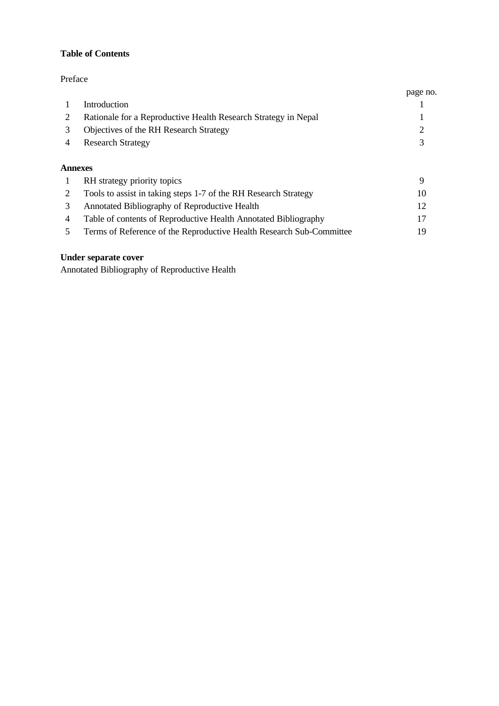# **Table of Contents**

# [Preface](#page-1-0)

|                                                                | page no. |
|----------------------------------------------------------------|----------|
| <b>Introduction</b>                                            |          |
| Rationale for a Reproductive Health Research Strategy in Nepal |          |
| Objectives of the RH Research Strategy                         |          |
| <b>Research Strategy</b>                                       |          |
| Annexes                                                        |          |

| $\overline{1}$ | RH strategy priority topics                                          |                 |
|----------------|----------------------------------------------------------------------|-----------------|
|                | Tools to assist in taking steps 1-7 of the RH Research Strategy      | 10              |
| 3.             | Annotated Bibliography of Reproductive Health                        | 12 <sub>1</sub> |
| 4              | Table of contents of Reproductive Health Annotated Bibliography      | 17              |
|                | Terms of Reference of the Reproductive Health Research Sub-Committee | 19.             |

# **Under separate cover**

Annotated Bibliography of Reproductive Health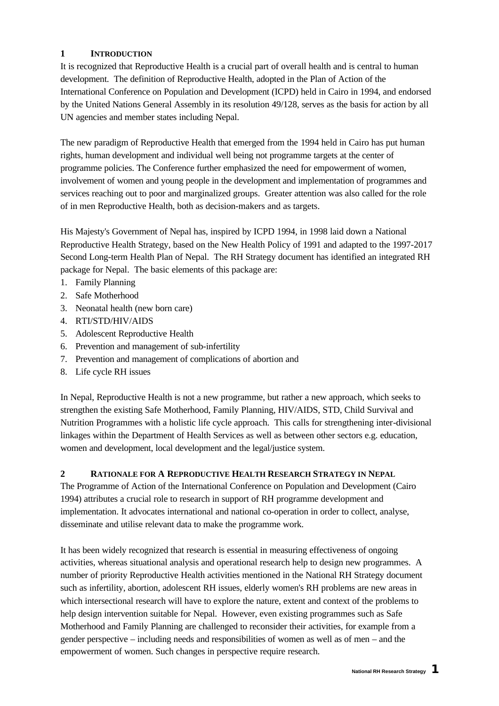# <span id="page-3-0"></span>**1 INTRODUCTION**

It is recognized that Reproductive Health is a crucial part of overall health and is central to human development. The definition of Reproductive Health, adopted in the Plan of Action of the International Conference on Population and Development (ICPD) held in Cairo in 1994, and endorsed by the United Nations General Assembly in its resolution 49/128, serves as the basis for action by all UN agencies and member states including Nepal.

The new paradigm of Reproductive Health that emerged from the 1994 held in Cairo has put human rights, human development and individual well being not programme targets at the center of programme policies. The Conference further emphasized the need for empowerment of women, involvement of women and young people in the development and implementation of programmes and services reaching out to poor and marginalized groups. Greater attention was also called for the role of in men Reproductive Health, both as decision-makers and as targets.

His Majesty's Government of Nepal has, inspired by ICPD 1994, in 1998 laid down a National Reproductive Health Strategy, based on the New Health Policy of 1991 and adapted to the 1997-2017 Second Long-term Health Plan of Nepal. The RH Strategy document has identified an integrated RH package for Nepal. The basic elements of this package are:

- 1. Family Planning
- 2. Safe Motherhood
- 3. Neonatal health (new born care)
- 4. RTI/STD/HIV/AIDS
- 5. Adolescent Reproductive Health
- 6. Prevention and management of sub-infertility
- 7. Prevention and management of complications of abortion and
- 8. Life cycle RH issues

In Nepal, Reproductive Health is not a new programme, but rather a new approach, which seeks to strengthen the existing Safe Motherhood, Family Planning, HIV/AIDS, STD, Child Survival and Nutrition Programmes with a holistic life cycle approach. This calls for strengthening inter-divisional linkages within the Department of Health Services as well as between other sectors e.g. education, women and development, local development and the legal/justice system.

# **2 RATIONALE FOR A REPRODUCTIVE HEALTH RESEARCH STRATEGY IN NEPAL**

The Programme of Action of the International Conference on Population and Development (Cairo 1994) attributes a crucial role to research in support of RH programme development and implementation. It advocates international and national co-operation in order to collect, analyse, disseminate and utilise relevant data to make the programme work.

It has been widely recognized that research is essential in measuring effectiveness of ongoing activities, whereas situational analysis and operational research help to design new programmes. A number of priority Reproductive Health activities mentioned in the National RH Strategy document such as infertility, abortion, adolescent RH issues, elderly women's RH problems are new areas in which intersectional research will have to explore the nature, extent and context of the problems to help design intervention suitable for Nepal. However, even existing programmes such as Safe Motherhood and Family Planning are challenged to reconsider their activities, for example from a gender perspective – including needs and responsibilities of women as well as of men – and the empowerment of women. Such changes in perspective require research.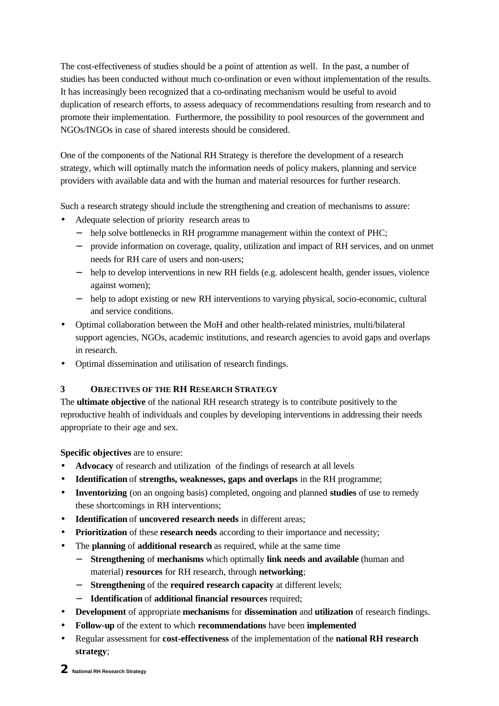<span id="page-4-0"></span>The cost-effectiveness of studies should be a point of attention as well. In the past, a number of studies has been conducted without much co-ordination or even without implementation of the results. It has increasingly been recognized that a co-ordinating mechanism would be useful to avoid duplication of research efforts, to assess adequacy of recommendations resulting from research and to promote their implementation. Furthermore, the possibility to pool resources of the government and NGOs/INGOs in case of shared interests should be considered.

One of the components of the National RH Strategy is therefore the development of a research strategy, which will optimally match the information needs of policy makers, planning and service providers with available data and with the human and material resources for further research.

Such a research strategy should include the strengthening and creation of mechanisms to assure:

- Adequate selection of priority research areas to
	- − help solve bottlenecks in RH programme management within the context of PHC;
	- − provide information on coverage, quality, utilization and impact of RH services, and on unmet needs for RH care of users and non-users;
	- − help to develop interventions in new RH fields (e.g. adolescent health, gender issues, violence against women);
	- − help to adopt existing or new RH interventions to varying physical, socio-economic, cultural and service conditions.
- Optimal collaboration between the MoH and other health-related ministries, multi/bilateral support agencies, NGOs, academic institutions, and research agencies to avoid gaps and overlaps in research.
- Optimal dissemination and utilisation of research findings.

# **3 OBJECTIVES OF THE RH RESEARCH STRATEGY**

The **ultimate objective** of the national RH research strategy is to contribute positively to the reproductive health of individuals and couples by developing interventions in addressing their needs appropriate to their age and sex.

**Specific objectives** are to ensure:

- **Advocacy** of research and utilizationof the findings of research at all levels
- **Identification** of **strengths, weaknesses, gaps and overlaps** in the RH programme;
- **Inventorizing** (on an ongoing basis) completed, ongoing and planned **studies** of use to remedy these shortcomings in RH interventions;
- **Identification** of **uncovered research needs** in different areas;
- **Prioritization** of these **research needs** according to their importance and necessity;
- The **planning** of **additional research** as required, while at the same time
	- − **Strengthening** of **mechanisms** which optimally **link needs and available** (human and material) **resources** for RH research, through **networking**;
	- − **Strengthening** of the **required research capacity** at different levels;
	- − **Identification** of **additional financial resources** required;
- **Development** of appropriate **mechanisms** for **dissemination** and **utilization** of research findings.
- **Follow-up** of the extent to which **recommendations** have been **implemented**
- Regular assessment for **cost-effectiveness** of the implementation of the **national RH research strategy**;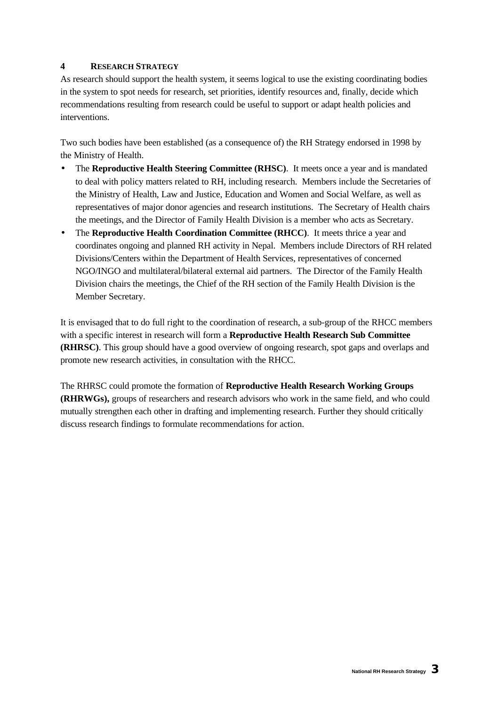# <span id="page-5-0"></span>**4 RESEARCH STRATEGY**

As research should support the health system, it seems logical to use the existing coordinating bodies in the system to spot needs for research, set priorities, identify resources and, finally, decide which recommendations resulting from research could be useful to support or adapt health policies and interventions.

Two such bodies have been established (as a consequence of) the RH Strategy endorsed in 1998 by the Ministry of Health.

- The **Reproductive Health Steering Committee (RHSC)**. It meets once a year and is mandated to deal with policy matters related to RH, including research. Members include the Secretaries of the Ministry of Health, Law and Justice, Education and Women and Social Welfare, as well as representatives of major donor agencies and research institutions. The Secretary of Health chairs the meetings, and the Director of Family Health Division is a member who acts as Secretary.
- The **Reproductive Health Coordination Committee (RHCC)**. It meets thrice a year and coordinates ongoing and planned RH activity in Nepal. Members include Directors of RH related Divisions/Centers within the Department of Health Services, representatives of concerned NGO/INGO and multilateral/bilateral external aid partners. The Director of the Family Health Division chairs the meetings, the Chief of the RH section of the Family Health Division is the Member Secretary.

It is envisaged that to do full right to the coordination of research, a sub-group of the RHCC members with a specific interest in research will form a **Reproductive Health Research Sub Committee (RHRSC)**. This group should have a good overview of ongoing research, spot gaps and overlaps and promote new research activities, in consultation with the RHCC.

The RHRSC could promote the formation of **Reproductive Health Research Working Groups (RHRWGs),** groups of researchers and research advisors who work in the same field, and who could mutually strengthen each other in drafting and implementing research. Further they should critically discuss research findings to formulate recommendations for action.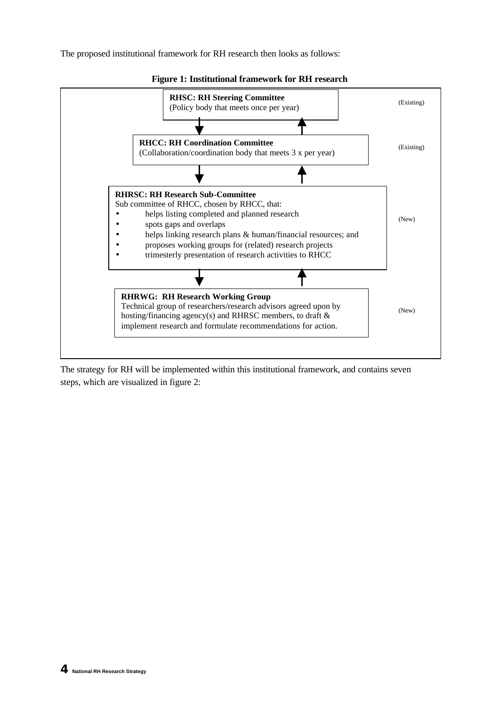The proposed institutional framework for RH research then looks as follows:



**Figure 1: Institutional framework for RH research**

The strategy for RH will be implemented within this institutional framework, and contains seven steps, which are visualized in figure 2: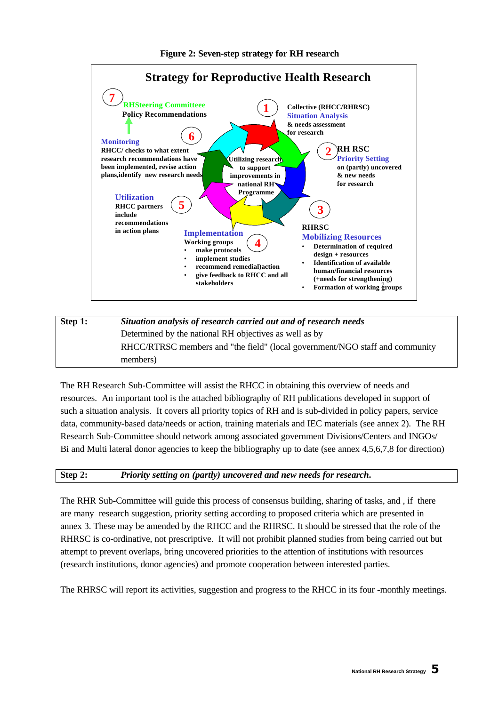

# **Step 1:** *Situation analysis of research carried out and of research needs* Determined by the national RH objectives as well as by RHCC/RTRSC members and "the field" (local government/NGO staff and community members)

The RH Research Sub-Committee will assist the RHCC in obtaining this overview of needs and resources. An important tool is the attached bibliography of RH publications developed in support of such a situation analysis. It covers all priority topics of RH and is sub-divided in policy papers, service data, community-based data/needs or action, training materials and IEC materials (see annex 2). The RH Research Sub-Committee should network among associated government Divisions/Centers and INGOs/ Bi and Multi lateral donor agencies to keep the bibliography up to date (see annex 4,5,6,7,8 for direction)

# **Step 2:** *Priority setting on (partly) uncovered and new needs for research***.**

The RHR Sub-Committee will guide this process of consensus building, sharing of tasks, and , if there are many research suggestion, priority setting according to proposed criteria which are presented in annex 3. These may be amended by the RHCC and the RHRSC. It should be stressed that the role of the RHRSC is co-ordinative, not prescriptive. It will not prohibit planned studies from being carried out but attempt to prevent overlaps, bring uncovered priorities to the attention of institutions with resources (research institutions, donor agencies) and promote cooperation between interested parties.

The RHRSC will report its activities, suggestion and progress to the RHCC in its four -monthly meetings.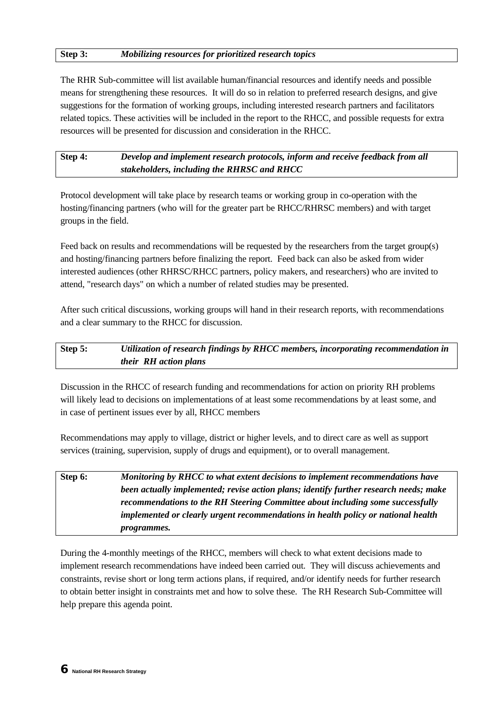#### **Step 3:** *Mobilizing resources for prioritized research topics*

The RHR Sub-committee will list available human/financial resources and identify needs and possible means for strengthening these resources. It will do so in relation to preferred research designs, and give suggestions for the formation of working groups, including interested research partners and facilitators related topics. These activities will be included in the report to the RHCC, and possible requests for extra resources will be presented for discussion and consideration in the RHCC.

**Step 4:** *Develop and implement research protocols, inform and receive feedback from all stakeholders, including the RHRSC and RHCC*

Protocol development will take place by research teams or working group in co-operation with the hosting/financing partners (who will for the greater part be RHCC/RHRSC members) and with target groups in the field.

Feed back on results and recommendations will be requested by the researchers from the target group(s) and hosting/financing partners before finalizing the report. Feed back can also be asked from wider interested audiences (other RHRSC/RHCC partners, policy makers, and researchers) who are invited to attend, "research days" on which a number of related studies may be presented.

After such critical discussions, working groups will hand in their research reports, with recommendations and a clear summary to the RHCC for discussion.

# **Step 5:** *Utilization of research findings by RHCC members, incorporating recommendation in their RH action plans*

Discussion in the RHCC of research funding and recommendations for action on priority RH problems will likely lead to decisions on implementations of at least some recommendations by at least some, and in case of pertinent issues ever by all, RHCC members

Recommendations may apply to village, district or higher levels, and to direct care as well as support services (training, supervision, supply of drugs and equipment), or to overall management.

| Step 6: | Monitoring by RHCC to what extent decisions to implement recommendations have         |
|---------|---------------------------------------------------------------------------------------|
|         | been actually implemented; revise action plans; identify further research needs; make |
|         | recommendations to the RH Steering Committee about including some successfully        |
|         | implemented or clearly urgent recommendations in health policy or national health     |
|         | <i>programmes.</i>                                                                    |

During the 4-monthly meetings of the RHCC, members will check to what extent decisions made to implement research recommendations have indeed been carried out. They will discuss achievements and constraints, revise short or long term actions plans, if required, and/or identify needs for further research to obtain better insight in constraints met and how to solve these. The RH Research Sub-Committee will help prepare this agenda point.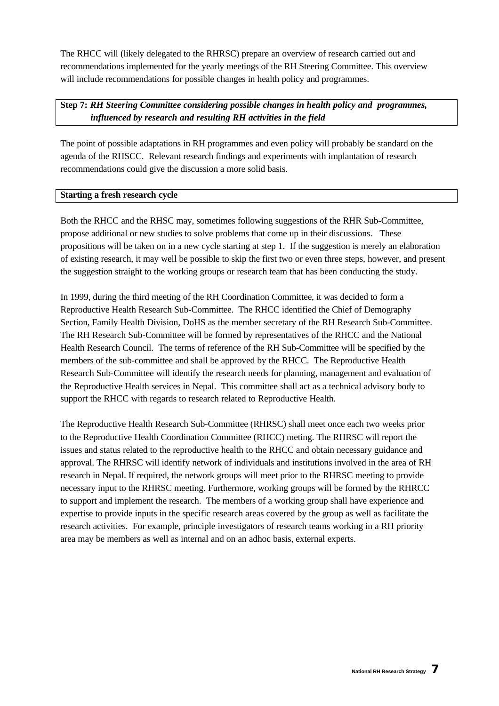The RHCC will (likely delegated to the RHRSC) prepare an overview of research carried out and recommendations implemented for the yearly meetings of the RH Steering Committee. This overview will include recommendations for possible changes in health policy and programmes.

**Step 7:** *RH Steering Committee considering possible changes in health policy and programmes, influenced by research and resulting RH activities in the field*

The point of possible adaptations in RH programmes and even policy will probably be standard on the agenda of the RHSCC. Relevant research findings and experiments with implantation of research recommendations could give the discussion a more solid basis.

#### **Starting a fresh research cycle**

Both the RHCC and the RHSC may, sometimes following suggestions of the RHR Sub-Committee, propose additional or new studies to solve problems that come up in their discussions. These propositions will be taken on in a new cycle starting at step 1. If the suggestion is merely an elaboration of existing research, it may well be possible to skip the first two or even three steps, however, and present the suggestion straight to the working groups or research team that has been conducting the study.

In 1999, during the third meeting of the RH Coordination Committee, it was decided to form a Reproductive Health Research Sub-Committee. The RHCC identified the Chief of Demography Section, Family Health Division, DoHS as the member secretary of the RH Research Sub-Committee. The RH Research Sub-Committee will be formed by representatives of the RHCC and the National Health Research Council. The terms of reference of the RH Sub-Committee will be specified by the members of the sub-committee and shall be approved by the RHCC. The Reproductive Health Research Sub-Committee will identify the research needs for planning, management and evaluation of the Reproductive Health services in Nepal. This committee shall act as a technical advisory body to support the RHCC with regards to research related to Reproductive Health.

The Reproductive Health Research Sub-Committee (RHRSC) shall meet once each two weeks prior to the Reproductive Health Coordination Committee (RHCC) meting. The RHRSC will report the issues and status related to the reproductive health to the RHCC and obtain necessary guidance and approval. The RHRSC will identify network of individuals and institutions involved in the area of RH research in Nepal. If required, the network groups will meet prior to the RHRSC meeting to provide necessary input to the RHRSC meeting. Furthermore, working groups will be formed by the RHRCC to support and implement the research. The members of a working group shall have experience and expertise to provide inputs in the specific research areas covered by the group as well as facilitate the research activities. For example, principle investigators of research teams working in a RH priority area may be members as well as internal and on an adhoc basis, external experts.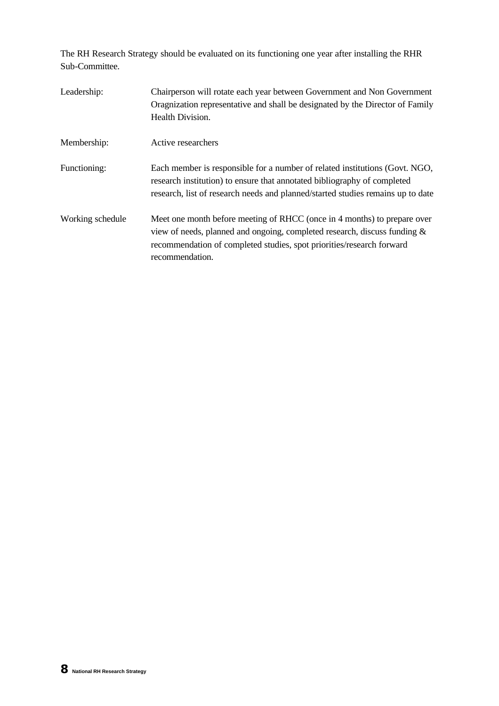The RH Research Strategy should be evaluated on its functioning one year after installing the RHR Sub-Committee.

| Leadership:      | Chairperson will rotate each year between Government and Non Government<br>Oragnization representative and shall be designated by the Director of Family<br>Health Division.                                                                      |
|------------------|---------------------------------------------------------------------------------------------------------------------------------------------------------------------------------------------------------------------------------------------------|
| Membership:      | Active researchers                                                                                                                                                                                                                                |
| Functioning:     | Each member is responsible for a number of related institutions (Govt. NGO,<br>research institution) to ensure that annotated bibliography of completed<br>research, list of research needs and planned/started studies remains up to date        |
| Working schedule | Meet one month before meeting of RHCC (once in 4 months) to prepare over<br>view of needs, planned and ongoing, completed research, discuss funding &<br>recommendation of completed studies, spot priorities/research forward<br>recommendation. |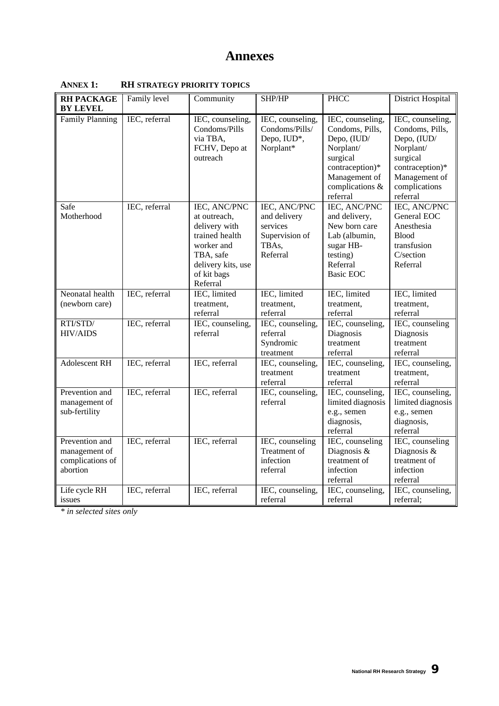# **Annexes**

| <b>RH PACKAGE</b>                                               | Family level  | Community                                                                                                                                   | SHP/HP                                                                          | <b>PHCC</b>                                                                                                                                    | <b>District Hospital</b>                                                                                                                     |
|-----------------------------------------------------------------|---------------|---------------------------------------------------------------------------------------------------------------------------------------------|---------------------------------------------------------------------------------|------------------------------------------------------------------------------------------------------------------------------------------------|----------------------------------------------------------------------------------------------------------------------------------------------|
| BY LEVEL                                                        |               |                                                                                                                                             |                                                                                 |                                                                                                                                                |                                                                                                                                              |
| <b>Family Planning</b>                                          | IEC, referral | IEC, counseling,<br>Condoms/Pills<br>via TBA,<br>FCHV, Depo at<br>outreach                                                                  | IEC, counseling,<br>Condoms/Pills/<br>Depo, IUD*,<br>Norplant*                  | IEC, counseling,<br>Condoms, Pills,<br>Depo, (IUD/<br>Norplant/<br>surgical<br>contraception)*<br>Management of<br>complications &<br>referral | IEC, counseling,<br>Condoms, Pills,<br>Depo, (IUD/<br>Norplant/<br>surgical<br>contraception)*<br>Management of<br>complications<br>referral |
| Safe<br>Motherhood                                              | IEC, referral | IEC, ANC/PNC<br>at outreach,<br>delivery with<br>trained health<br>worker and<br>TBA, safe<br>delivery kits, use<br>of kit bags<br>Referral | IEC, ANC/PNC<br>and delivery<br>services<br>Supervision of<br>TBAs,<br>Referral | <b>IEC, ANC/PNC</b><br>and delivery,<br>New born care<br>Lab (albumin,<br>sugar HB-<br>testing)<br>Referral<br>Basic EOC                       | IEC, ANC/PNC<br>General EOC<br>Anesthesia<br><b>Blood</b><br>transfusion<br>C/section<br>Referral                                            |
| Neonatal health<br>(newborn care)                               | IEC, referral | IEC, limited<br>treatment,<br>referral                                                                                                      | IEC, limited<br>treatment.<br>referral                                          | IEC, limited<br>treatment,<br>referral                                                                                                         | IEC, limited<br>treatment,<br>referral                                                                                                       |
| RTI/STD/<br><b>HIV/AIDS</b>                                     | IEC, referral | IEC, counseling,<br>referral                                                                                                                | IEC, counseling,<br>referral<br>Syndromic<br>treatment                          | IEC, counseling,<br>Diagnosis<br>treatment<br>referral                                                                                         | IEC, counseling<br>Diagnosis<br>treatment<br>referral                                                                                        |
| <b>Adolescent RH</b>                                            | IEC, referral | IEC, referral                                                                                                                               | IEC, counseling,<br>treatment<br>referral                                       | IEC, counseling,<br>treatment<br>referral                                                                                                      | IEC, counseling,<br>treatment,<br>referral                                                                                                   |
| Prevention and<br>management of<br>sub-fertility                | IEC, referral | IEC, referral                                                                                                                               | IEC, counseling,<br>referral                                                    | IEC, counseling,<br>limited diagnosis<br>e.g., semen<br>diagnosis,<br>referral                                                                 | IEC, counseling,<br>limited diagnosis<br>e.g., semen<br>diagnosis,<br>referral                                                               |
| Prevention and<br>management of<br>complications of<br>abortion | IEC, referral | IEC, referral                                                                                                                               | IEC, counseling<br>Treatment of<br>infection<br>referral                        | IEC, counseling<br>Diagnosis &<br>treatment of<br>infection<br>referral                                                                        | IEC, counseling<br>Diagnosis &<br>treatment of<br>infection<br>referral                                                                      |
| Life cycle RH<br>issues                                         | IEC, referral | IEC, referral                                                                                                                               | IEC, counseling,<br>referral                                                    | IEC, counseling,<br>referral                                                                                                                   | IEC, counseling,<br>referral;                                                                                                                |

<span id="page-11-0"></span>**ANNEX 1: RH STRATEGY PRIORITY TOPICS**

*\* in selected sites only*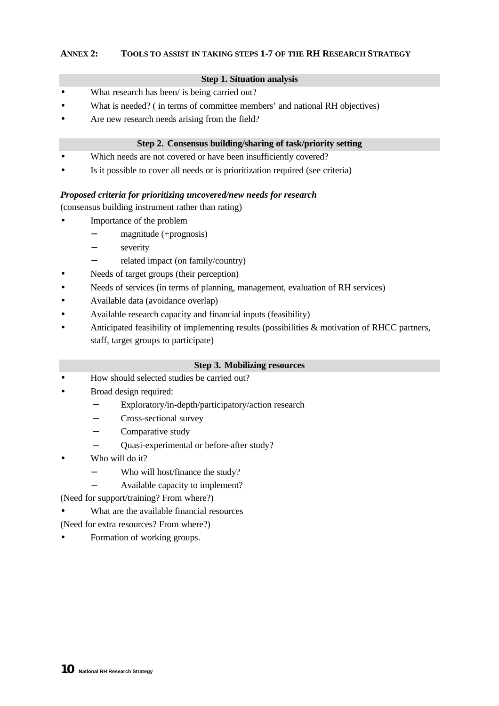# <span id="page-12-0"></span>**ANNEX 2: TOOLS TO ASSIST IN TAKING STEPS 1-7 OF THE RH RESEARCH STRATEGY**

#### **Step 1. Situation analysis**

- What research has been/ is being carried out?
- What is needed? ( in terms of committee members' and national RH objectives)
- Are new research needs arising from the field?

#### **Step 2. Consensus building/sharing of task/priority setting**

- Which needs are not covered or have been insufficiently covered?
- Is it possible to cover all needs or is prioritization required (see criteria)

#### *Proposed criteria for prioritizing uncovered/new needs for research*

(consensus building instrument rather than rating)

- Importance of the problem
	- − magnitude (+prognosis)
	- − severity
	- − related impact (on family/country)
- Needs of target groups (their perception)
- Needs of services (in terms of planning, management, evaluation of RH services)
- Available data (avoidance overlap)
- Available research capacity and financial inputs (feasibility)
- Anticipated feasibility of implementing results (possibilities & motivation of RHCC partners, staff, target groups to participate)

#### **Step 3. Mobilizing resources**

- How should selected studies be carried out?
- Broad design required:
	- Exploratory/in-depth/participatory/action research
	- − Cross-sectional survey
	- − Comparative study
	- − Quasi-experimental or before-after study?
- Who will do it?
	- − Who will host/finance the study?
		- − Available capacity to implement?
- (Need for support/training? From where?)
- What are the available financial resources
- (Need for extra resources? From where?)
- Formation of working groups.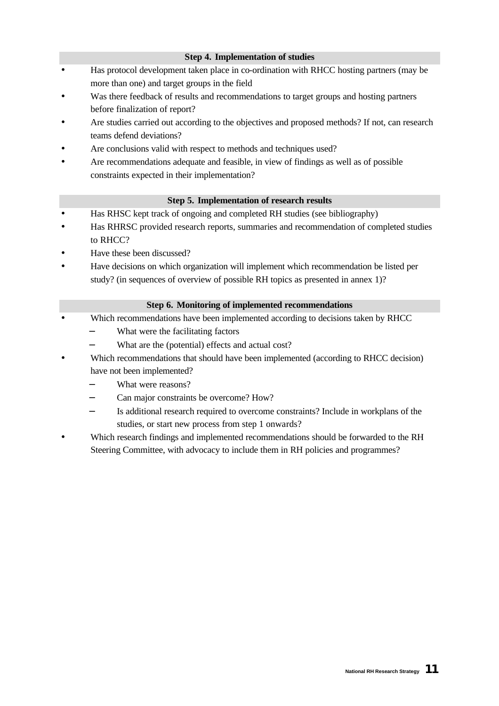# **Step 4. Implementation of studies**

- Has protocol development taken place in co-ordination with RHCC hosting partners (may be more than one) and target groups in the field
- Was there feedback of results and recommendations to target groups and hosting partners before finalization of report?
- Are studies carried out according to the objectives and proposed methods? If not, can research teams defend deviations?
- Are conclusions valid with respect to methods and techniques used?
- Are recommendations adequate and feasible, in view of findings as well as of possible constraints expected in their implementation?

#### **Step 5. Implementation of research results**

- Has RHSC kept track of ongoing and completed RH studies (see bibliography)
- Has RHRSC provided research reports, summaries and recommendation of completed studies to RHCC?
- Have these been discussed?
- Have decisions on which organization will implement which recommendation be listed per study? (in sequences of overview of possible RH topics as presented in annex 1)?

# **Step 6. Monitoring of implemented recommendations**

- Which recommendations have been implemented according to decisions taken by RHCC
	- What were the facilitating factors
	- What are the (potential) effects and actual cost?
- Which recommendations that should have been implemented (according to RHCC decision) have not been implemented?
	- − What were reasons?
	- Can major constraints be overcome? How?
	- − Is additional research required to overcome constraints? Include in workplans of the studies, or start new process from step 1 onwards?
- Which research findings and implemented recommendations should be forwarded to the RH Steering Committee, with advocacy to include them in RH policies and programmes?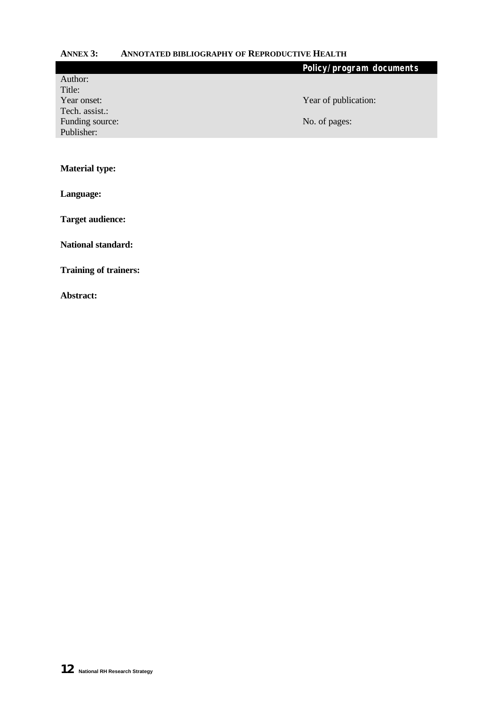# <span id="page-14-0"></span>**ANNEX 3: ANNOTATED BIBLIOGRAPHY OF REPRODUCTIVE HEALTH**

|                 | Policy/program documents |
|-----------------|--------------------------|
| Author:         |                          |
| Title:          |                          |
| Year onset:     | Year of publication:     |
| Tech. assist.:  |                          |
| Funding source: | No. of pages:            |
| Publisher:      |                          |
|                 |                          |
|                 |                          |
|                 |                          |

**Material type:**

**Language:**

**Target audience:**

**National standard:**

**Training of trainers:**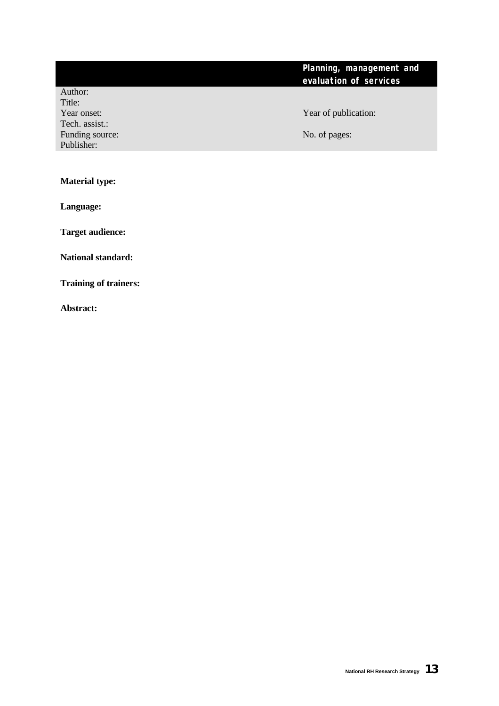# **Planning, management and evaluation of services**

Author: Title: Tech. assist.: Funding source: No. of pages: No. of pages: Publisher:

Year onset: Year of publication:

**Material type:**

**Language:**

**Target audience:**

**National standard:**

**Training of trainers:**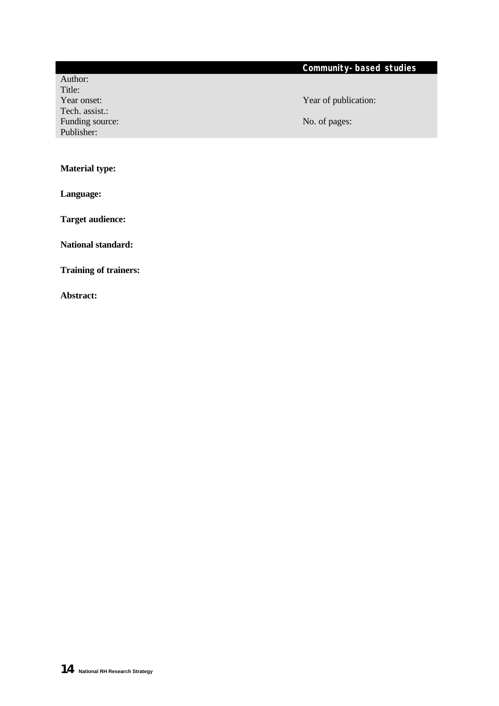# **Community-based studies**

Author: Title: Tech. assist.: Funding source: No. of pages: No. of pages: Publisher:

Year onset: Year of publication:

# **Material type:**

**Language:**

**Target audience:**

**National standard:**

**Training of trainers:**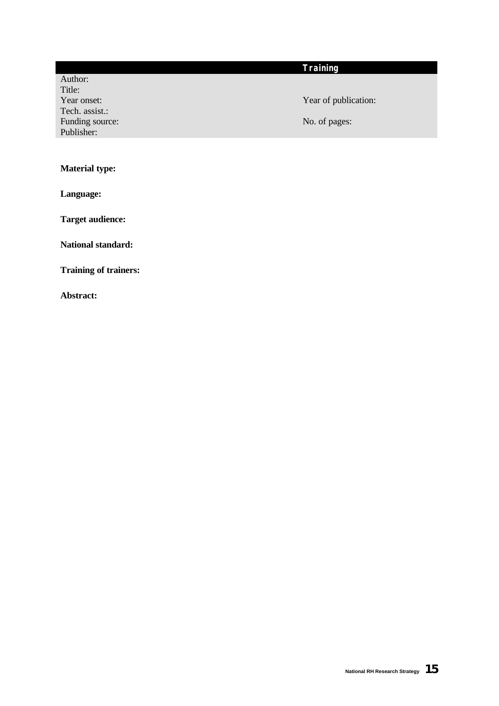# **Training**

Author: Title: Year onset: Year of publication: Tech. assist.: Funding source: No. of pages: No. of pages: Publisher:

# **Material type:**

**Language:**

**Target audience:**

**National standard:**

**Training of trainers:**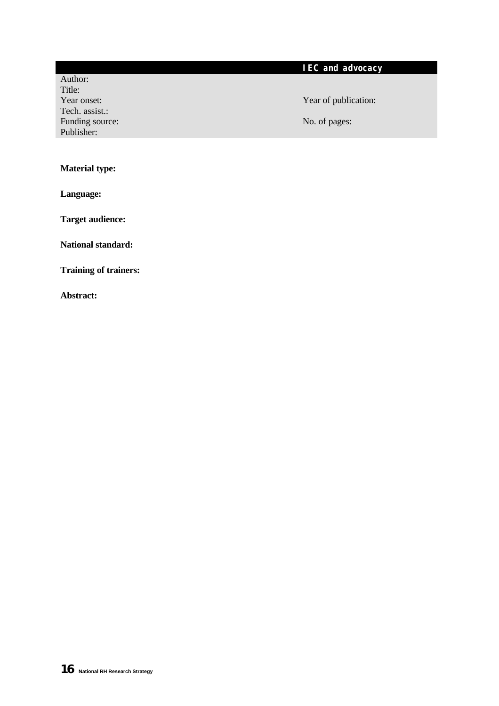# **IEC and advocacy**

Author: Title: Tech. assist.: Funding source: No. of pages: No. of pages: Publisher:

# Year onset: Year of publication:

# **Material type:**

**Language:**

**Target audience:**

**National standard:**

**Training of trainers:**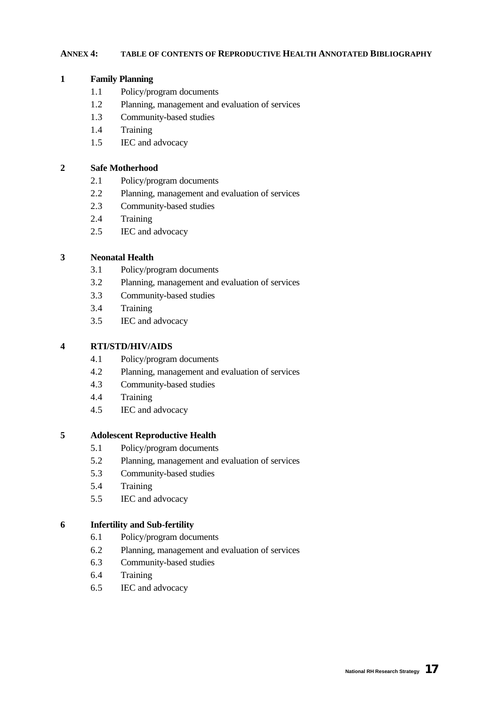#### <span id="page-19-0"></span>**ANNEX 4: TABLE OF CONTENTS OF REPRODUCTIVE HEALTH ANNOTATED BIBLIOGRAPHY**

# **1 Family Planning**

- 1.1 Policy/program documents
- 1.2 Planning, management and evaluation of services
- 1.3 Community-based studies
- 1.4 Training
- 1.5 IEC and advocacy

# **2 Safe Motherhood**

- 2.1 Policy/program documents
- 2.2 Planning, management and evaluation of services
- 2.3 Community-based studies
- 2.4 Training
- 2.5 IEC and advocacy

# **3 Neonatal Health**

- 3.1 Policy/program documents
- 3.2 Planning, management and evaluation of services
- 3.3 Community-based studies
- 3.4 Training
- 3.5 IEC and advocacy

# **4 RTI/STD/HIV/AIDS**

- 4.1 Policy/program documents
- 4.2 Planning, management and evaluation of services
- 4.3 Community-based studies
- 4.4 Training
- 4.5 IEC and advocacy

# **5 Adolescent Reproductive Health**

- 5.1 Policy/program documents
- 5.2 Planning, management and evaluation of services
- 5.3 Community-based studies
- 5.4 Training
- 5.5 IEC and advocacy

# **6 Infertility and Sub-fertility**

- 6.1 Policy/program documents
- 6.2 Planning, management and evaluation of services
- 6.3 Community-based studies
- 6.4 Training
- 6.5 IEC and advocacy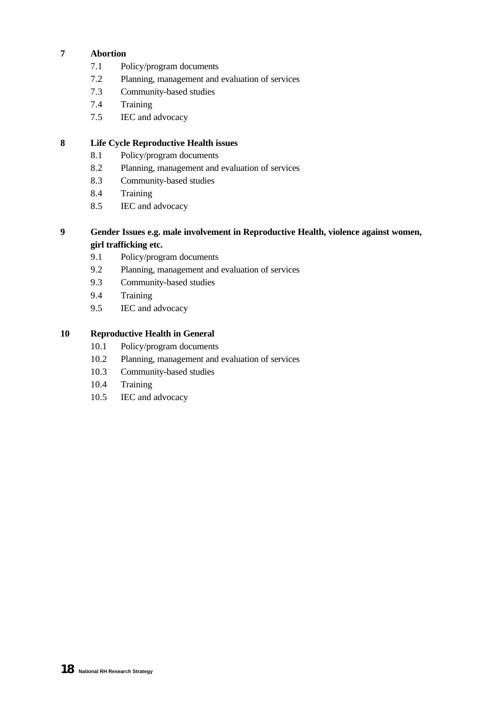# **7 Abortion**

- 7.1 Policy/program documents
- 7.2 Planning, management and evaluation of services
- 7.3 Community-based studies
- 7.4 Training
- 7.5 IEC and advocacy

# **8 Life Cycle Reproductive Health issues**

- 8.1 Policy/program documents
- 8.2 Planning, management and evaluation of services
- 8.3 Community-based studies
- 8.4 Training
- 8.5 IEC and advocacy

# **9 Gender Issues e.g. male involvement in Reproductive Health, violence against women, girl trafficking etc.**

- 9.1 Policy/program documents
- 9.2 Planning, management and evaluation of services
- 9.3 Community-based studies
- 9.4 Training
- 9.5 IEC and advocacy

# **10 Reproductive Health in General**

- 10.1 Policy/program documents
- 10.2 Planning, management and evaluation of services
- 10.3 Community-based studies
- 10.4 Training
- 10.5 IEC and advocacy